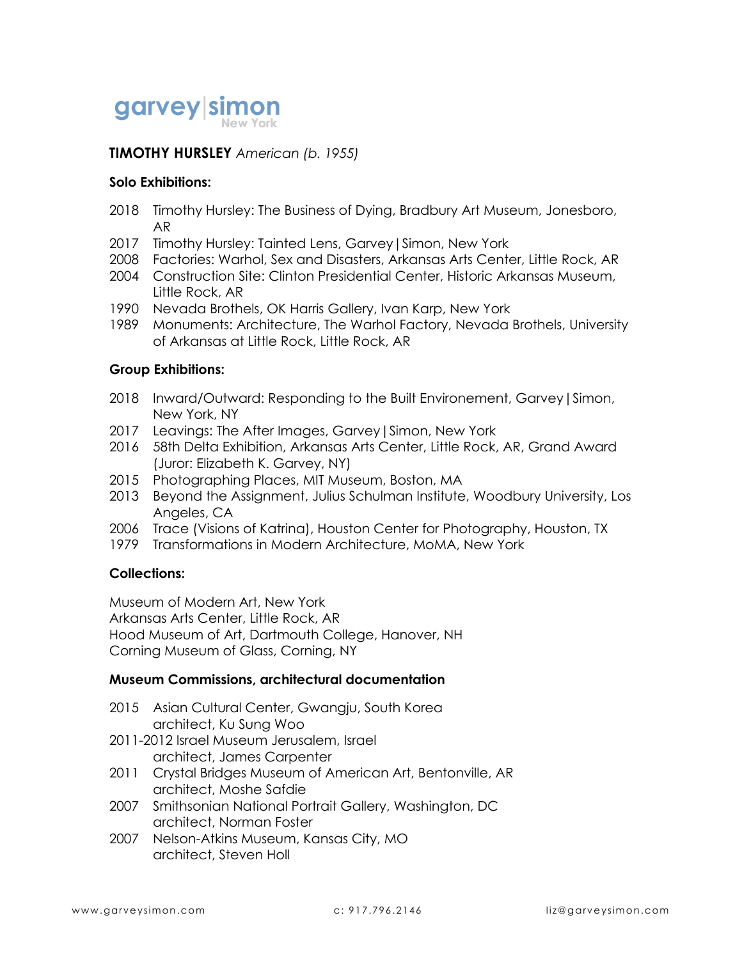

# **TIMOTHY HURSLEY** *American (b. 1955)*

## **Solo Exhibitions:**

- 2018 Timothy Hursley: The Business of Dying, Bradbury Art Museum, Jonesboro, AR
- 2017 Timothy Hursley: Tainted Lens, Garvey|Simon, New York
- 2008 Factories: Warhol, Sex and Disasters, Arkansas Arts Center, Little Rock, AR
- 2004 Construction Site: Clinton Presidential Center, Historic Arkansas Museum, Little Rock, AR
- 1990 Nevada Brothels, OK Harris Gallery, Ivan Karp, New York
- 1989 Monuments: Architecture, The Warhol Factory, Nevada Brothels, University of Arkansas at Little Rock, Little Rock, AR

### **Group Exhibitions:**

- 2018 Inward/Outward: Responding to the Built Environement, Garvey|Simon, New York, NY
- 2017 Leavings: The After Images, Garvey|Simon, New York
- 2016 58th Delta Exhibition, Arkansas Arts Center, Little Rock, AR, Grand Award (Juror: Elizabeth K. Garvey, NY)
- 2015 Photographing Places, MIT Museum, Boston, MA
- 2013 Beyond the Assignment, Julius Schulman Institute, Woodbury University, Los Angeles, CA
- 2006 Trace (Visions of Katrina), Houston Center for Photography, Houston, TX
- 1979 Transformations in Modern Architecture, MoMA, New York

## **Collections:**

Museum of Modern Art, New York

Arkansas Arts Center, Little Rock, AR

Hood Museum of Art, Dartmouth College, Hanover, NH

Corning Museum of Glass, Corning, NY

### **Museum Commissions, architectural documentation**

- 2015 Asian Cultural Center, Gwangju, South Korea architect, Ku Sung Woo
- 2011-2012 Israel Museum Jerusalem, Israel architect, James Carpenter
- 2011 Crystal Bridges Museum of American Art, Bentonville, AR architect, Moshe Safdie
- 2007 Smithsonian National Portrait Gallery, Washington, DC architect, Norman Foster
- 2007 Nelson-Atkins Museum, Kansas City, MO architect, Steven Holl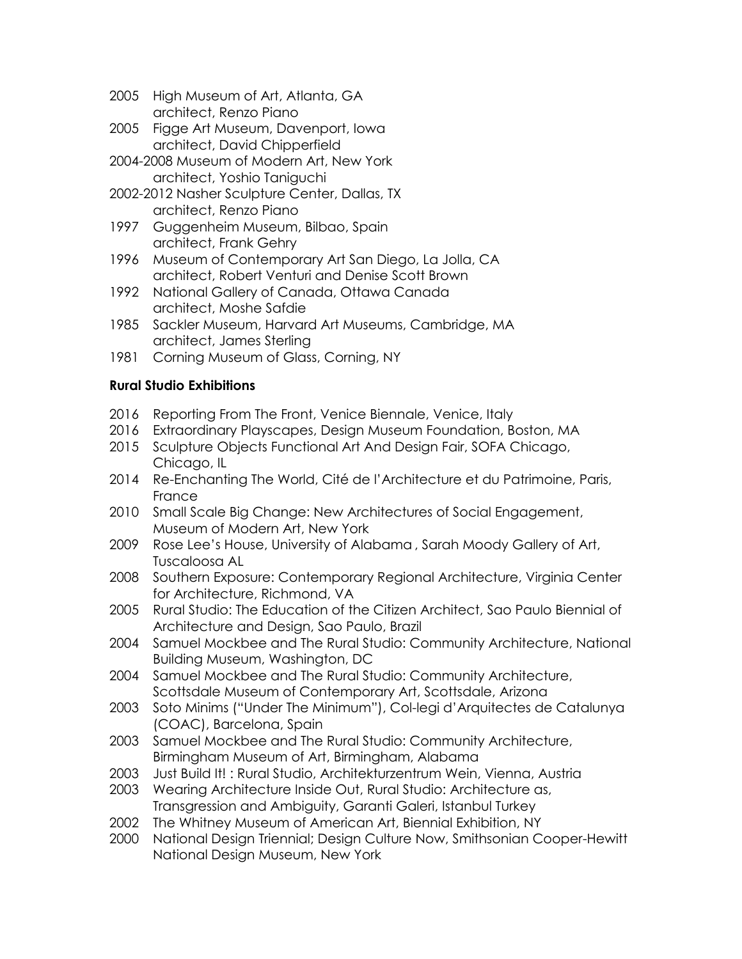- 2005 High Museum of Art, Atlanta, GA architect, Renzo Piano
- 2005 Figge Art Museum, Davenport, Iowa architect, David Chipperfield
- 2004-2008 Museum of Modern Art, New York architect, Yoshio Taniguchi
- 2002-2012 Nasher Sculpture Center, Dallas, TX architect, Renzo Piano
- 1997 Guggenheim Museum, Bilbao, Spain architect, Frank Gehry
- 1996 Museum of Contemporary Art San Diego, La Jolla, CA architect, Robert Venturi and Denise Scott Brown
- 1992 National Gallery of Canada, Ottawa Canada architect, Moshe Safdie
- 1985 Sackler Museum, Harvard Art Museums, Cambridge, MA architect, James Sterling
- 1981 Corning Museum of Glass, Corning, NY

# **Rural Studio Exhibitions**

- 2016 Reporting From The Front, Venice Biennale, Venice, Italy
- 2016 Extraordinary Playscapes, Design Museum Foundation, Boston, MA
- 2015 Sculpture Objects Functional Art And Design Fair, SOFA Chicago, Chicago, IL
- 2014 Re-Enchanting The World, Cité de l'Architecture et du Patrimoine, Paris, France
- 2010 Small Scale Big Change: New Architectures of Social Engagement, Museum of Modern Art, New York
- 2009 Rose Lee's House, University of Alabama , Sarah Moody Gallery of Art, Tuscaloosa AL
- 2008 Southern Exposure: Contemporary Regional Architecture, Virginia Center for Architecture, Richmond, VA
- 2005 Rural Studio: The Education of the Citizen Architect, Sao Paulo Biennial of Architecture and Design, Sao Paulo, Brazil
- 2004 Samuel Mockbee and The Rural Studio: Community Architecture, National Building Museum, Washington, DC
- 2004 Samuel Mockbee and The Rural Studio: Community Architecture, Scottsdale Museum of Contemporary Art, Scottsdale, Arizona
- 2003 Soto Minims ("Under The Minimum"), Col-legi d'Arquitectes de Catalunya (COAC), Barcelona, Spain
- 2003 Samuel Mockbee and The Rural Studio: Community Architecture, Birmingham Museum of Art, Birmingham, Alabama
- 2003 Just Build It! : Rural Studio, Architekturzentrum Wein, Vienna, Austria
- 2003 Wearing Architecture Inside Out, Rural Studio: Architecture as, Transgression and Ambiguity, Garanti Galeri, Istanbul Turkey
- 2002 The Whitney Museum of American Art, Biennial Exhibition, NY
- 2000 National Design Triennial; Design Culture Now, Smithsonian Cooper-Hewitt National Design Museum, New York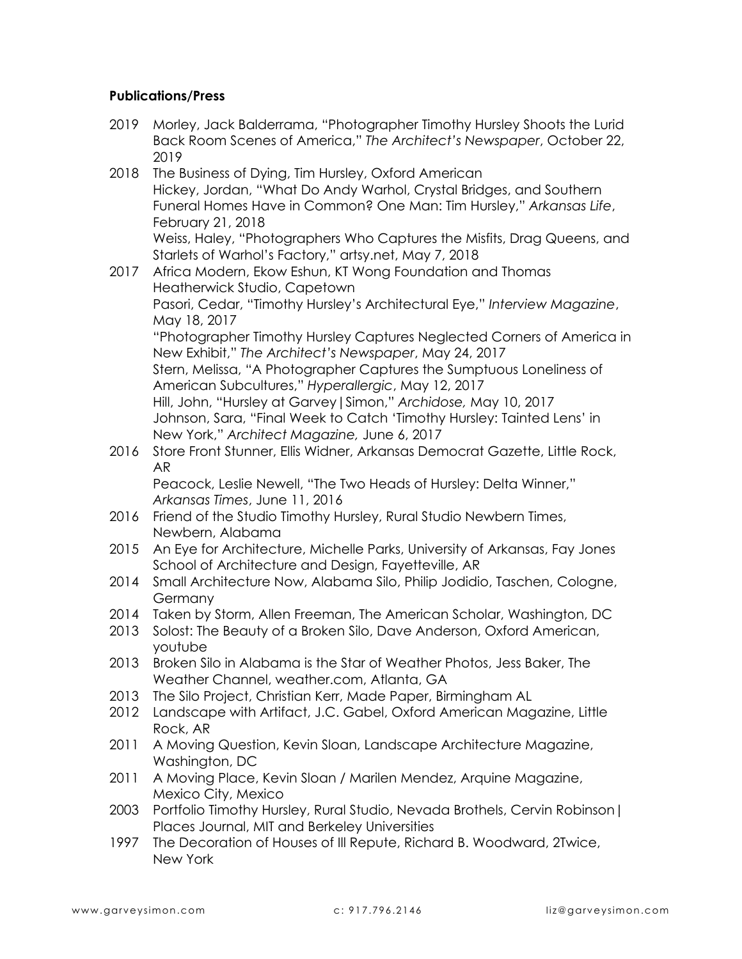# **Publications/Press**

- 2019 Morley, Jack Balderrama, "Photographer Timothy Hursley Shoots the Lurid Back Room Scenes of America," *The Architect's Newspaper*, October 22, 2019
- 2018 The Business of Dying, Tim Hursley, Oxford American Hickey, Jordan, "What Do Andy Warhol, Crystal Bridges, and Southern Funeral Homes Have in Common? One Man: Tim Hursley," *Arkansas Life*, February 21, 2018 Weiss, Haley, "Photographers Who Captures the Misfits, Drag Queens, and
- Starlets of Warhol's Factory," artsy.net, May 7, 2018 2017 Africa Modern, Ekow Eshun, KT Wong Foundation and Thomas Heatherwick Studio, Capetown Pasori, Cedar, "Timothy Hursley's Architectural Eye," *Interview Magazine*, May 18, 2017 "Photographer Timothy Hursley Captures Neglected Corners of America in New Exhibit," *The Architect's Newspaper*, May 24, 2017 Stern, Melissa, "A Photographer Captures the Sumptuous Loneliness of American Subcultures," *Hyperallergic*, May 12, 2017 Hill, John, "Hursley at Garvey|Simon," *Archidose,* May 10, 2017 Johnson, Sara, "Final Week to Catch 'Timothy Hursley: Tainted Lens' in New York," *Architect Magazine,* June 6, 2017
- 2016 Store Front Stunner, Ellis Widner, Arkansas Democrat Gazette, Little Rock, AR

Peacock, Leslie Newell, "The Two Heads of Hursley: Delta Winner," *Arkansas Times*, June 11, 2016

- 2016 Friend of the Studio Timothy Hursley, Rural Studio Newbern Times, Newbern, Alabama
- 2015 An Eye for Architecture, Michelle Parks, University of Arkansas, Fay Jones School of Architecture and Design, Fayetteville, AR
- 2014 Small Architecture Now, Alabama Silo, Philip Jodidio, Taschen, Cologne, Germany
- 2014 Taken by Storm, Allen Freeman, The American Scholar, Washington, DC
- 2013 Solost: The Beauty of a Broken Silo, Dave Anderson, Oxford American, youtube
- 2013 Broken Silo in Alabama is the Star of Weather Photos, Jess Baker, The Weather Channel, weather.com, Atlanta, GA
- 2013 The Silo Project, Christian Kerr, Made Paper, Birmingham AL
- 2012 Landscape with Artifact, J.C. Gabel, Oxford American Magazine, Little Rock, AR
- 2011 A Moving Question, Kevin Sloan, Landscape Architecture Magazine, Washington, DC
- 2011 A Moving Place, Kevin Sloan / Marilen Mendez, Arquine Magazine, Mexico City, Mexico
- 2003 Portfolio Timothy Hursley, Rural Studio, Nevada Brothels, Cervin Robinson| Places Journal, MIT and Berkeley Universities
- 1997 The Decoration of Houses of Ill Repute, Richard B. Woodward, 2Twice, New York